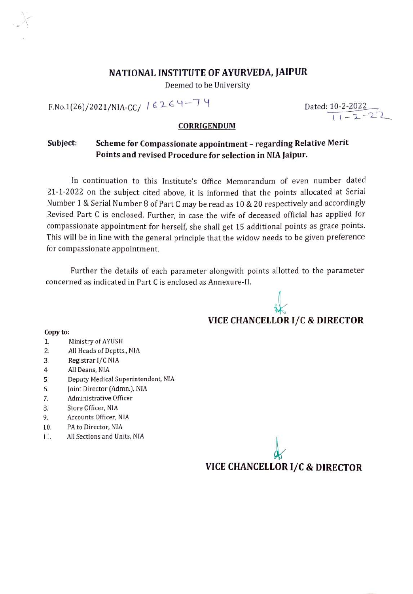#### NATIONAL INSTITUTE OF AYURVEDA, JAIPUR

Deemed to be University

 $F.No.1(26)/2021/NIA-CC/16264-79$ 

Dated: 10-2-2022  $\frac{2-2022}{11-2-22}$ 

#### CORRIGENDUM

#### Scheme for Compassionate appointment - regarding Relative Merit Points and revised Procedure for selection in NIA Jaipur Subject:

In continuation to this Institute's Office Memorandum of even number dated 21-1-2022 on the subject cited above, it is informed that the points allocated at Serial Number 1 & Serial Number 8 of Part C may be read as 10 & 20 respectively and accordingly Revised Part C is enclosed. Further, in case the wife of deceased official has applied for compassionate appointment for herself, she shall get 15 additional points as grace points. This will be in line with the general principle that the widow needs to be given preference for compassionate appointment.

Further the details of each parameter alongwith points allotted to the parameter concerned as indicated in Part C is enclosed as Annexure-II.

#### M VICE CHANCELLORI/C & DIRECTOR

#### Copy to:

- Ministry of AYUSH 1.
- All Heads of Deptts., NIA 2.
- Registrar l/C NIA 3.
- . All Deans, NIA
- Deputy Medical Superintendent, NIA 5.
- Joint Director (Admn.), NIA 6.
- 7. Administrative Officer
- . Store Officer, NIA
- 9. Accounts Officer, NIA
- 10. PA to Director, NIA
- 11. All Sections and Units, NIA

VICE CHANCELLOR I/C & DIRECTOR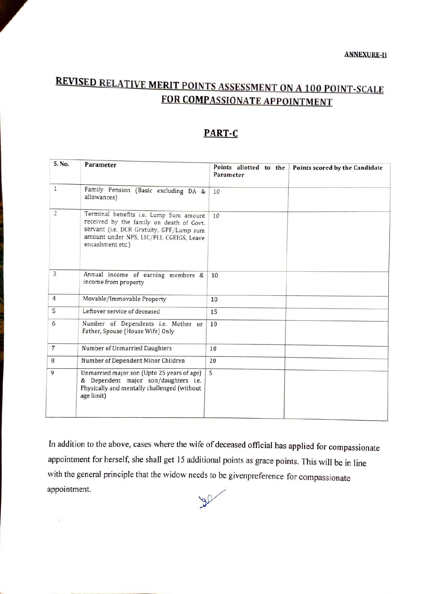# REVISED RELATIVE MERIT POINTS ASSESSMENT ON A 100 POINT-SCALE FOR COMPASSIONATE APPOINTMENT

#### PART-C

| S. No.            | Parameter                                                                                                                                                                                      | Points allotted to the<br>Parameter | Points scored by the Candidate |
|-------------------|------------------------------------------------------------------------------------------------------------------------------------------------------------------------------------------------|-------------------------------------|--------------------------------|
| $\mathbf{1}$      | Family Pension (Basic excluding DA &<br>allowances)                                                                                                                                            | 10                                  |                                |
| $\overline{2}$    | Terminal benefits i.e. Lump Sum amount<br>received by the family on death of Govt.<br>servant (i.e. DCR Gratuity, GPF/Lump sum<br>amount under NPS, LIC/PLI, CGEIGS, Leave<br>encashment etc.) | 10                                  |                                |
| 3                 | Annual income of earning members &<br>income from property                                                                                                                                     | 10                                  |                                |
| $\overline{4}$    | Movable/Immovable Property                                                                                                                                                                     | 10                                  |                                |
| 5                 | Leftover service of deceased                                                                                                                                                                   | 15                                  |                                |
| 6                 | Number of Dependents i.e. Mother or<br>Father, Spouse (House Wife) Only                                                                                                                        | 10                                  |                                |
| $\overline{\tau}$ | Number of Unmarried Daughters                                                                                                                                                                  | 10                                  |                                |
| 8                 | Number of Dependent Minor Children                                                                                                                                                             | 20                                  |                                |
| 9                 | Unmarried major son (Upto 25 years of age)<br>& Dependent major son/daughters i.e.<br>Physically and mentally challenged (without<br>age limit)                                                | 5                                   |                                |

In addition to the above, cases where the wife of deceased official has applied for compassionate appointment for herself, she shall get 15 additional points as grace points. This will be in line with the general principle that the widow needs to be givenpreference for compassionate appointment. $\mathcal{P}$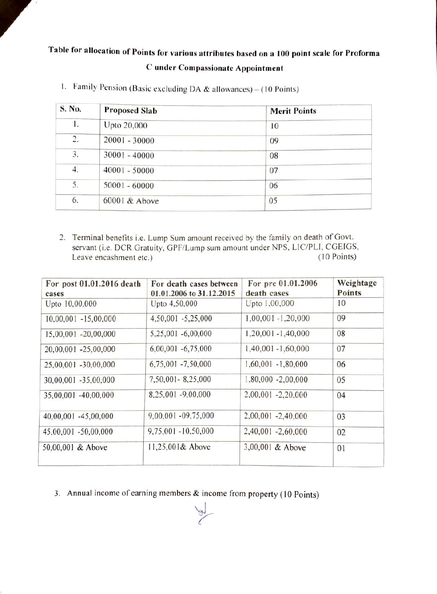## Table for allocation of Points for various attributes based on a 100 point scale for Proforma Cunder Compassionate Appointment

| S. No. | <b>Proposed Slab</b> | <b>Merit Points</b> |
|--------|----------------------|---------------------|
| 1.     | Upto 20,000          | 10                  |
| 2.     | $20001 - 30000$      | 09                  |
| 3.     | 30001 - 40000        | 08                  |
| 4.     | $40001 - 50000$      | 07                  |
| 5.     | $50001 - 60000$      | 06                  |
| 6.     | 60001 & Above        | 05                  |

I. Family Pension (Basic excluding DA & allowances) - (10 Points)

2. Terminal benefits i.e. Lump Sum amount received by the family on death of Govt. servant (i.e. DCR Gratuity, GPF/Lump sum amount under NPS, LIC/PLI, CGEIGS, Leave encashment etc.) (10 Points) Leave encashment etc.)

| For post 01.01.2016 death<br>cases | For death cases between<br>01.01.2006 to 31.12.2015 | For pre 01.01.2006<br>death cases | Weightage<br><b>Points</b> |
|------------------------------------|-----------------------------------------------------|-----------------------------------|----------------------------|
| Upto 10,00,000                     | Upto 4,50,000                                       | Upto 1,00,000                     | 10                         |
| 10,00,001 -15,00,000               | 4,50,001 -5,25,000                                  | $1,00,001 - 1,20,000$             | 09                         |
| 15,00,001 -20,00,000               | 5,25,001 -6,00,000                                  | $1,20,001 - 1,40,000$             | 08                         |
| 20,00,001 -25,00,000               | $6,00,001 - 6,75,000$                               | $1,40,001 - 1,60,000$             | 07                         |
| 25,00,001 -30,00,000               | 6,75,001 -7,50,000                                  | $1,60,001 - 1,80,000$             | 06                         |
| 30,00,001 -35,00,000               | 7,50,001-8,25,000                                   | $1,80,000 - 2,00,000$             | 05                         |
| 35,00,001 -40,00,000               | 8,25,001 -9,00,000                                  | 2,00,001 -2,20,000                | 04                         |
| 40,00,001 -45,00,000               | 9,00,001 -09,75,000                                 | $2,00,001 - 2,40,000$             | 03                         |
| 45,00,001 -50,00,000               | $9,75,001 - 10,50,000$                              | 2,40,001 -2,60,000                | 02                         |
| 50,00,001 & Above                  | 11,25,001& Above                                    | 3,00,001 & Above                  | 01                         |

3. Annual income of earning members & income from property (10 Points)

 $\frac{1}{2}$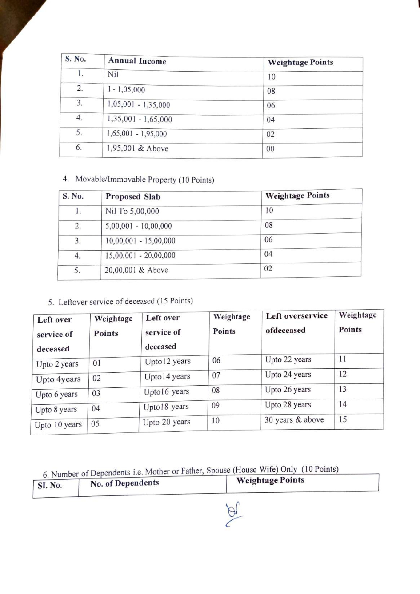| S. No. | <b>Annual Income</b>  | <b>Weightage Points</b> |
|--------|-----------------------|-------------------------|
| 1.     | Nil                   | 10                      |
| 2.     | $1 - 1,05,000$        | 08                      |
| 3.     | $1,05,001 - 1,35,000$ | 06                      |
| 4.     | $1,35,001 - 1,65,000$ | 04                      |
| 5.     | $1,65,001 - 1,95,000$ | 02                      |
| 6.     | 1,95,001 & Above      | $00\,$                  |

### 4. Movable/Immovable Property (10 Points)

| S. No. | Proposed Slab           | <b>Weightage Points</b> |
|--------|-------------------------|-------------------------|
| l.     | Nil To 5,00,000         | 10                      |
| 2.     | $5,00,001 - 10,00,000$  | 08                      |
| 3.     | $10,00,001 - 15,00,000$ | 06                      |
| 4.     | $15,00,001 - 20,00,000$ | 04                      |
| 5.     | 20,00,001 & Above       | 02                      |

#### 5. Leftover service of deceased (15 Points)

| Left over<br>service of<br>deceased | Weightage<br><b>Points</b> | Left over<br>service of<br>deceased | Weightage<br><b>Points</b> | Left overservice<br>ofdeceased | Weightage<br>Points |
|-------------------------------------|----------------------------|-------------------------------------|----------------------------|--------------------------------|---------------------|
| Upto 2 years                        | 01                         | Upto12 years                        | 06                         | Upto 22 years                  | 11                  |
| Upto 4years                         | 02                         | Upto14 years                        | 07                         | Upto 24 years                  | 12                  |
| Upto 6 years                        | 03                         | Upto16 years                        | 08                         | Upto 26 years                  | 13                  |
| Upto 8 years                        | 04                         | Upto18 years                        | 09                         | Upto 28 years                  | 14                  |
| Upto 10 years                       | 05                         | Upto 20 years                       | 10                         | 30 years & above               | 15                  |

6. Number of Dependents i.e. Mother or Father, Spouse (House Wife) Only (10 Points)

|         | 0. Number of Dependence not |                         |
|---------|-----------------------------|-------------------------|
| SI. No. | No. of Dependents           | <b>Weightage Points</b> |

 $\overline{\beta}$